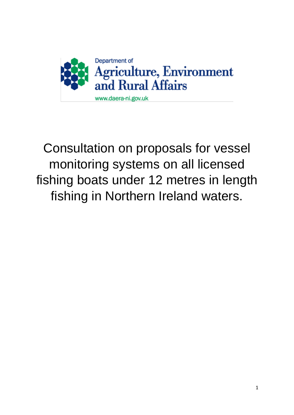

# Consultation on proposals for vessel monitoring systems on all licensed fishing boats under 12 metres in length fishing in Northern Ireland waters.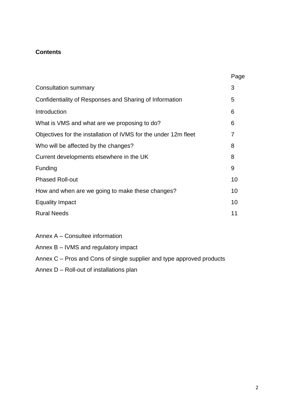# **Contents**

|                                                                 | Page |
|-----------------------------------------------------------------|------|
| Consultation summary                                            | 3    |
| Confidentiality of Responses and Sharing of Information         | 5    |
| Introduction                                                    | 6    |
| What is VMS and what are we proposing to do?                    | 6    |
| Objectives for the installation of IVMS for the under 12m fleet | 7    |
| Who will be affected by the changes?                            | 8    |
| Current developments elsewhere in the UK                        | 8    |
| Funding                                                         | 9    |
| <b>Phased Roll-out</b>                                          | 10   |
| How and when are we going to make these changes?                | 10   |
| <b>Equality Impact</b>                                          | 10   |
| <b>Rural Needs</b>                                              | 11   |

- Annex A Consultee information
- Annex B IVMS and regulatory impact
- Annex C Pros and Cons of single supplier and type approved products
- Annex D Roll-out of installations plan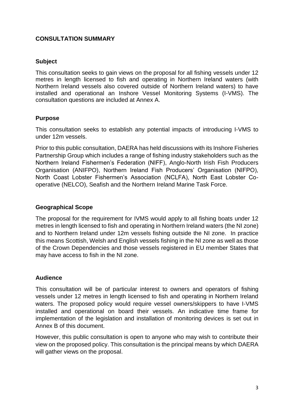# **CONSULTATION SUMMARY**

# **Subject**

This consultation seeks to gain views on the proposal for all fishing vessels under 12 metres in length licensed to fish and operating in Northern Ireland waters (with Northern Ireland vessels also covered outside of Northern Ireland waters) to have installed and operational an Inshore Vessel Monitoring Systems (I-VMS). The consultation questions are included at Annex A.

# **Purpose**

This consultation seeks to establish any potential impacts of introducing I-VMS to under 12m vessels.

Prior to this public consultation, DAERA has held discussions with its Inshore Fisheries Partnership Group which includes a range of fishing industry stakeholders such as the Northern Ireland Fishermen's Federation (NIFF), Anglo-North Irish Fish Producers Organisation (ANIFPO), Northern Ireland Fish Producers' Organisation (NIFPO), North Coast Lobster Fishermen's Association (NCLFA), North East Lobster Cooperative (NELCO), Seafish and the Northern Ireland Marine Task Force.

# **Geographical Scope**

The proposal for the requirement for IVMS would apply to all fishing boats under 12 metres in length licensed to fish and operating in Northern Ireland waters (the NI zone) and to Northern Ireland under 12m vessels fishing outside the NI zone. In practice this means Scottish, Welsh and English vessels fishing in the NI zone as well as those of the Crown Dependencies and those vessels registered in EU member States that may have access to fish in the NI zone.

# **Audience**

This consultation will be of particular interest to owners and operators of fishing vessels under 12 metres in length licensed to fish and operating in Northern Ireland waters. The proposed policy would require vessel owners/skippers to have I-VMS installed and operational on board their vessels. An indicative time frame for implementation of the legislation and installation of monitoring devices is set out in Annex B of this document.

However, this public consultation is open to anyone who may wish to contribute their view on the proposed policy. This consultation is the principal means by which DAERA will gather views on the proposal.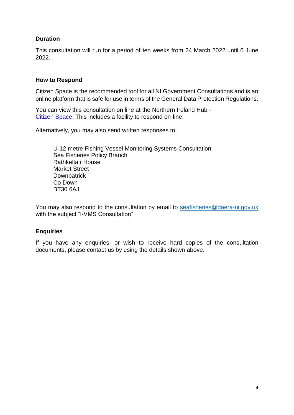# **Duration**

This consultation will run for a period of ten weeks from 24 March 2022 until 6 June 2022.

# **How to Respond**

Citizen Space is the recommended tool for all NI Government Consultations and is an online platform that is safe for use in terms of the General Data Protection Regulations.

You can view this consultation on line at the Northern Ireland Hub - Citizen Space. This includes a facility to respond on-line.

Alternatively, you may also send written responses to;

U-12 metre Fishing Vessel Monitoring Systems Consultation Sea Fisheries Policy Branch Rathkeltair House Market Street **Downpatrick** Co Down BT30 6AJ

You may also respond to the consultation by email to [seafisheries@daera-ni.gov.uk](mailto:seafisheries@daera-ni.gov.uk) with the subject "I-VMS Consultation"

# **Enquiries**

If you have any enquiries, or wish to receive hard copies of the consultation documents, please contact us by using the details shown above.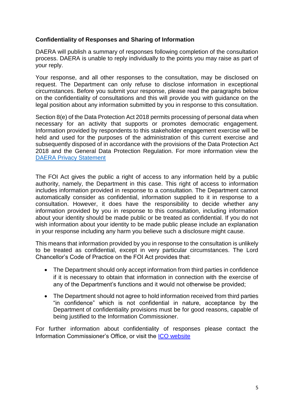# **Confidentiality of Responses and Sharing of Information**

DAERA will publish a summary of responses following completion of the consultation process. DAERA is unable to reply individually to the points you may raise as part of your reply.

Your response, and all other responses to the consultation, may be disclosed on request. The Department can only refuse to disclose information in exceptional circumstances. Before you submit your response, please read the paragraphs below on the confidentiality of consultations and this will provide you with guidance on the legal position about any information submitted by you in response to this consultation.

Section 8(e) of the Data Protection Act 2018 permits processing of personal data when necessary for an activity that supports or promotes democratic engagement. Information provided by respondents to this stakeholder engagement exercise will be held and used for the purposes of the administration of this current exercise and subsequently disposed of in accordance with the provisions of the Data Protection Act 2018 and the General Data Protection Regulation. For more information view the [DAERA Privacy Statement](https://www.daera-ni.gov.uk/publications/daera-privacy-statement-document)

The FOI Act gives the public a right of access to any information held by a public authority, namely, the Department in this case. This right of access to information includes information provided in response to a consultation. The Department cannot automatically consider as confidential, information supplied to it in response to a consultation. However, it does have the responsibility to decide whether any information provided by you in response to this consultation, including information about your identity should be made public or be treated as confidential. If you do not wish information about your identity to be made public please include an explanation in your response including any harm you believe such a disclosure might cause.

This means that information provided by you in response to the consultation is unlikely to be treated as confidential, except in very particular circumstances. The Lord Chancellor's Code of Practice on the FOI Act provides that:

- The Department should only accept information from third parties in confidence if it is necessary to obtain that information in connection with the exercise of any of the Department's functions and it would not otherwise be provided;
- The Department should not agree to hold information received from third parties "in confidence" which is not confidential in nature, acceptance by the Department of confidentiality provisions must be for good reasons, capable of being justified to the Information Commissioner.

For further information about confidentiality of responses please contact the Information Commissioner's Office, or visit the [ICO website](https://ico.org.uk/)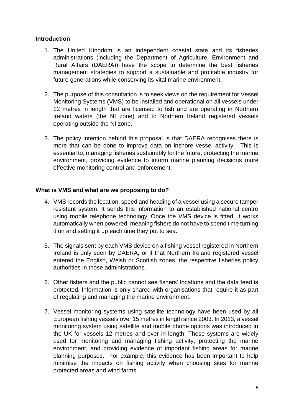## **Introduction**

- 1. The United Kingdom is an independent coastal state and its fisheries administrations (including the Department of Agriculture, Environment and Rural Affairs (DAERA)) have the scope to determine the best fisheries management strategies to support a sustainable and profitable industry for future generations while conserving its vital marine environment.
- 2. The purpose of this consultation is to seek views on the requirement for Vessel Monitoring Systems (VMS) to be installed and operational on all vessels under 12 metres in length that are licensed to fish and are operating in Northern Ireland waters (the NI zone) and to Northern Ireland registered vessels operating outside the NI zone.
- 3. The policy intention behind this proposal is that DAERA recognises there is more that can be done to improve data on inshore vessel activity. This is essential to, managing fisheries sustainably for the future, protecting the marine environment, providing evidence to inform marine planning decisions more effective monitoring control and enforcement.

## **What is VMS and what are we proposing to do?**

- 4. VMS records the location, speed and heading of a vessel using a secure tamper resistant system. It sends this information to an established national centre using mobile telephone technology. Once the VMS device is fitted, it works automatically when powered, meaning fishers do not have to spend time turning it on and setting it up each time they put to sea.
- 5. The signals sent by each VMS device on a fishing vessel registered in Northern Ireland is only seen by DAERA, or if that Northern Ireland registered vessel entered the English, Welsh or Scottish zones, the respective fisheries policy authorities in those administrations.
- 6. Other fishers and the public cannot see fishers' locations and the data feed is protected. Information is only shared with organisations that require it as part of regulating and managing the marine environment.
- 7. Vessel monitoring systems using satellite technology have been used by all European fishing vessels over 15 metres in length since 2003. In 2013, a vessel monitoring system using satellite and mobile phone options was introduced in the UK for vessels 12 metres and over in length. These systems are widely used for monitoring and managing fishing activity, protecting the marine environment, and providing evidence of important fishing areas for marine planning purposes. For example, this evidence has been important to help minimise the impacts on fishing activity when choosing sites for marine protected areas and wind farms.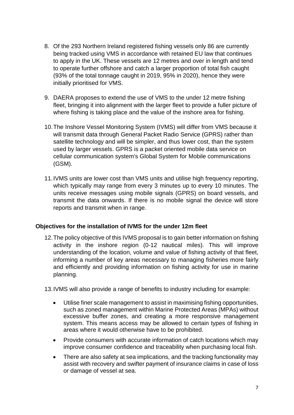- 8. Of the 293 Northern Ireland registered fishing vessels only 86 are currently being tracked using VMS in accordance with retained EU law that continues to apply in the UK. These vessels are 12 metres and over in length and tend to operate further offshore and catch a larger proportion of total fish caught (93% of the total tonnage caught in 2019, 95% in 2020), hence they were initially prioritised for VMS.
- 9. DAERA proposes to extend the use of VMS to the under 12 metre fishing fleet, bringing it into alignment with the larger fleet to provide a fuller picture of where fishing is taking place and the value of the inshore area for fishing.
- 10.The Inshore Vessel Monitoring System (IVMS) will differ from VMS because it will transmit data through General Packet Radio Service (GPRS) rather than satellite technology and will be simpler, and thus lower cost, than the system used by larger vessels. GPRS is a packet oriented mobile data service on cellular communication system's Global System for Mobile communications (GSM).
- 11.IVMS units are lower cost than VMS units and utilise high frequency reporting, which typically may range from every 3 minutes up to every 10 minutes. The units receive messages using mobile signals (GPRS) on board vessels, and transmit the data onwards. If there is no mobile signal the device will store reports and transmit when in range.

# **Objectives for the installation of IVMS for the under 12m fleet**

12.The policy objective of this IVMS proposal is to gain better information on fishing activity in the inshore region (0-12 nautical miles). This will improve understanding of the location, volume and value of fishing activity of that fleet, informing a number of key areas necessary to managing fisheries more fairly and efficiently and providing information on fishing activity for use in marine planning.

13.IVMS will also provide a range of benefits to industry including for example:

- Utilise finer scale management to assist in maximising fishing opportunities, such as zoned management within Marine Protected Areas (MPAs) without excessive buffer zones, and creating a more responsive management system. This means access may be allowed to certain types of fishing in areas where it would otherwise have to be prohibited.
- Provide consumers with accurate information of catch locations which may improve consumer confidence and traceability when purchasing local fish.
- There are also safety at sea implications, and the tracking functionality may assist with recovery and swifter payment of insurance claims in case of loss or damage of vessel at sea.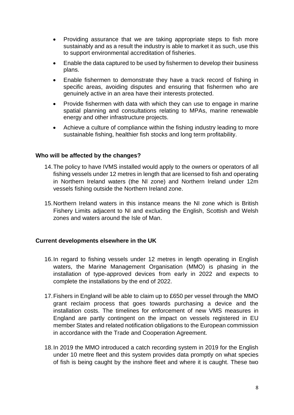- Providing assurance that we are taking appropriate steps to fish more sustainably and as a result the industry is able to market it as such, use this to support environmental accreditation of fisheries.
- Enable the data captured to be used by fishermen to develop their business plans.
- Enable fishermen to demonstrate they have a track record of fishing in specific areas, avoiding disputes and ensuring that fishermen who are genuinely active in an area have their interests protected.
- Provide fishermen with data with which they can use to engage in marine spatial planning and consultations relating to MPAs, marine renewable energy and other infrastructure projects.
- Achieve a culture of compliance within the fishing industry leading to more sustainable fishing, healthier fish stocks and long term profitability.

## **Who will be affected by the changes?**

- 14.The policy to have IVMS installed would apply to the owners or operators of all fishing vessels under 12 metres in length that are licensed to fish and operating in Northern Ireland waters (the NI zone) and Northern Ireland under 12m vessels fishing outside the Northern Ireland zone.
- 15.Northern Ireland waters in this instance means the NI zone which is British Fishery Limits adjacent to NI and excluding the English, Scottish and Welsh zones and waters around the Isle of Man.

## **Current developments elsewhere in the UK**

- 16.In regard to fishing vessels under 12 metres in length operating in English waters, the Marine Management Organisation (MMO) is phasing in the installation of type-approved devices from early in 2022 and expects to complete the installations by the end of 2022.
- 17.Fishers in England will be able to claim up to £650 per vessel through the MMO grant reclaim process that goes towards purchasing a device and the installation costs. The timelines for enforcement of new VMS measures in England are partly contingent on the impact on vessels registered in EU member States and related notification obligations to the European commission in accordance with the Trade and Cooperation Agreement.
- 18.In 2019 the MMO introduced a catch recording system in 2019 for the English under 10 metre fleet and this system provides data promptly on what species of fish is being caught by the inshore fleet and where it is caught. These two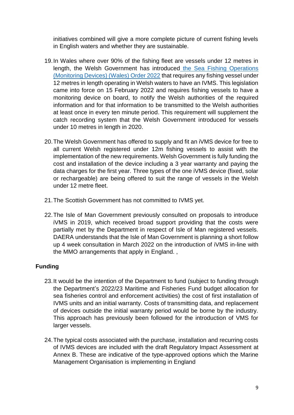initiatives combined will give a more complete picture of current fishing levels in English waters and whether they are sustainable.

- 19.In Wales where over 90% of the fishing fleet are vessels under 12 metres in length, the Welsh Government has introduced [the Sea Fishing Operations](https://www.legislation.gov.uk/wsi/2022/70/made)  [\(Monitoring Devices\) \(Wales\) Order 2022](https://www.legislation.gov.uk/wsi/2022/70/made) that requires any fishing vessel under 12 metres in length operating in Welsh waters to have an IVMS. This legislation came into force on 15 February 2022 and requires fishing vessels to have a monitoring device on board, to notify the Welsh authorities of the required information and for that information to be transmitted to the Welsh authorities at least once in every ten minute period. This requirement will supplement the catch recording system that the Welsh Government introduced for vessels under 10 metres in length in 2020.
- 20.The Welsh Government has offered to supply and fit an iVMS device for free to all current Welsh registered under 12m fishing vessels to assist with the implementation of the new requirements. Welsh Government is fully funding the cost and installation of the device including a 3 year warranty and paying the data charges for the first year. Three types of the one iVMS device (fixed, solar or rechargeable) are being offered to suit the range of vessels in the Welsh under 12 metre fleet.
- 21.The Scottish Government has not committed to IVMS yet.
- 22.The Isle of Man Government previously consulted on proposals to introduce iVMS in 2019, which received broad support providing that the costs were partially met by the Department in respect of Isle of Man registered vessels. DAERA understands that the Isle of Man Government is planning a short follow up 4 week consultation in March 2022 on the introduction of iVMS in-line with the MMO arrangements that apply in England. ,

# **Funding**

- 23.It would be the intention of the Department to fund (subject to funding through the Department's 2022/23 Maritime and Fisheries Fund budget allocation for sea fisheries control and enforcement activities) the cost of first installation of IVMS units and an initial warranty. Costs of transmitting data, and replacement of devices outside the initial warranty period would be borne by the industry. This approach has previously been followed for the introduction of VMS for larger vessels.
- 24.The typical costs associated with the purchase, installation and recurring costs of IVMS devices are included with the draft Regulatory Impact Assessment at Annex B. These are indicative of the type-approved options which the Marine Management Organisation is implementing in England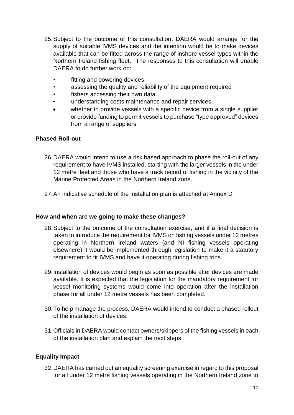- 25.Subject to the outcome of this consultation, DAERA would arrange for the supply of suitable IVMS devices and the intention would be to make devices available that can be fitted across the range of inshore vessel types within the Northern Ireland fishing fleet. The responses to this consultation will enable DAERA to do further work on:
	- fitting and powering devices
	- assessing the quality and reliability of the equipment required
	- fishers accessing their own data
	- understanding costs maintenance and repair services
	- whether to provide vessels with a specific device from a single supplier or provide funding to permit vessels to purchase "type approved" devices from a range of suppliers

## **Phased Roll-out**

- 26.DAERA would intend to use a risk based approach to phase the roll-out of any requirement to have IVMS installed, starting with the larger vessels in the under 12 metre fleet and those who have a track record of fishing in the vicinity of the Marine Protected Areas in the Northern Ireland zone.
- 27.An indicative schedule of the installation plan is attached at Annex D

## **How and when are we going to make these changes?**

- 28.Subject to the outcome of the consultation exercise, and if a final decision is taken to introduce the requirement for IVMS on fishing vessels under 12 metres operating in Northern Ireland waters (and NI fishing vessels operating elsewhere) it would be implemented through legislation to make it a statutory requirement to fit IVMS and have it operating during fishing trips.
- 29.Installation of devices would begin as soon as possible after devices are made available. It is expected that the legislation for the mandatory requirement for vessel monitoring systems would come into operation after the installation phase for all under 12 metre vessels has been completed.
- 30.To help manage the process, DAERA would intend to conduct a phased rollout of the installation of devices.
- 31.Officials in DAERA would contact owners/skippers of the fishing vessels in each of the installation plan and explain the next steps.

## **Equality Impact**

32.DAERA has carried out an equality screening exercise in regard to this proposal for all under 12 metre fishing vessels operating in the Northern Ireland zone to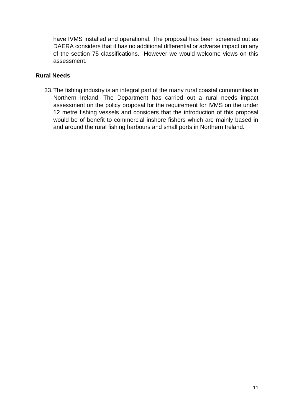have IVMS installed and operational. The proposal has been screened out as DAERA considers that it has no additional differential or adverse impact on any of the section 75 classifications. However we would welcome views on this assessment.

# **Rural Needs**

33.The fishing industry is an integral part of the many rural coastal communities in Northern Ireland. The Department has carried out a rural needs impact assessment on the policy proposal for the requirement for IVMS on the under 12 metre fishing vessels and considers that the introduction of this proposal would be of benefit to commercial inshore fishers which are mainly based in and around the rural fishing harbours and small ports in Northern Ireland.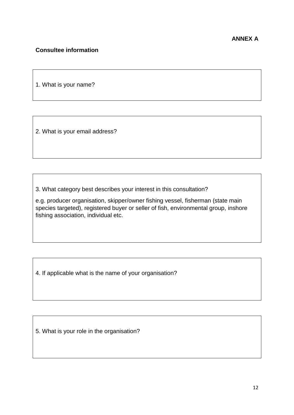# **Consultee information**

1. What is your name?

2. What is your email address?

3. What category best describes your interest in this consultation?

e.g. producer organisation, skipper/owner fishing vessel, fisherman (state main species targeted), registered buyer or seller of fish, environmental group, inshore fishing association, individual etc.

4. If applicable what is the name of your organisation?

5. What is your role in the organisation?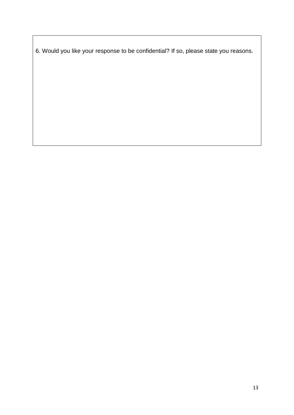6. Would you like your response to be confidential? If so, please state you reasons.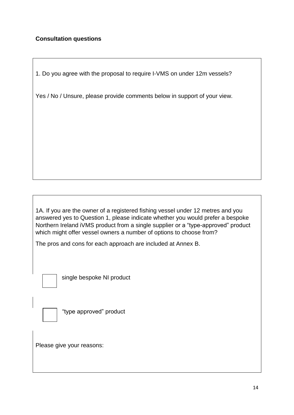# **Consultation questions**

1. Do you agree with the proposal to require I-VMS on under 12m vessels?

Yes / No / Unsure, please provide comments below in support of your view.

1A. If you are the owner of a registered fishing vessel under 12 metres and you answered yes to Question 1, please indicate whether you would prefer a bespoke Northern Ireland iVMS product from a single supplier or a "type-approved" product which might offer vessel owners a number of options to choose from?

The pros and cons for each approach are included at Annex B.



single bespoke NI product



"type approved" product

Please give your reasons: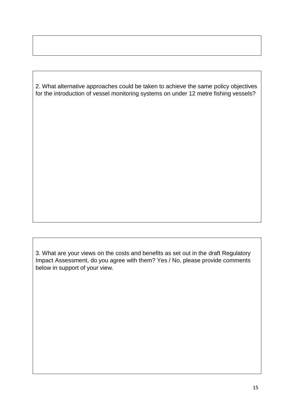2. What alternative approaches could be taken to achieve the same policy objectives for the introduction of vessel monitoring systems on under 12 metre fishing vessels?

3. What are your views on the costs and benefits as set out in the draft Regulatory Impact Assessment, do you agree with them? Yes / No, please provide comments below in support of your view.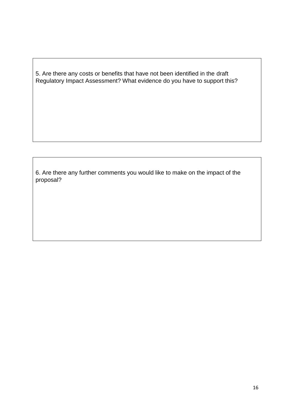5. Are there any costs or benefits that have not been identified in the draft Regulatory Impact Assessment? What evidence do you have to support this?

6. Are there any further comments you would like to make on the impact of the proposal?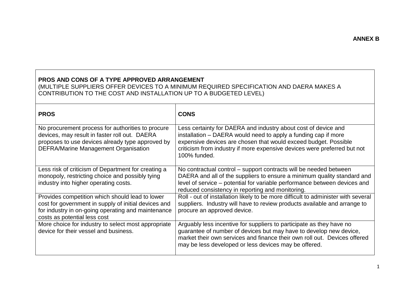# **PROS AND CONS OF A TYPE APPROVED ARRANGEMENT**

(MULTIPLE SUPPLIERS OFFER DEVICES TO A MINIMUM REQUIRED SPECIFICATION AND DAERA MAKES A CONTRIBUTION TO THE COST AND INSTALLATION UP TO A BUDGETED LEVEL)

| <b>PROS</b>                                                                                                                                                                                           | <b>CONS</b>                                                                                                                                                                                                                                                                                     |
|-------------------------------------------------------------------------------------------------------------------------------------------------------------------------------------------------------|-------------------------------------------------------------------------------------------------------------------------------------------------------------------------------------------------------------------------------------------------------------------------------------------------|
| No procurement process for authorities to procure<br>devices, may result in faster roll out. DAERA<br>proposes to use devices already type approved by<br><b>DEFRA/Marine Management Organisation</b> | Less certainty for DAERA and industry about cost of device and<br>installation - DAERA would need to apply a funding cap if more<br>expensive devices are chosen that would exceed budget. Possible<br>criticism from industry if more expensive devices were preferred but not<br>100% funded. |
| Less risk of criticism of Department for creating a<br>monopoly, restricting choice and possibly tying<br>industry into higher operating costs.                                                       | No contractual control – support contracts will be needed between<br>DAERA and all of the suppliers to ensure a minimum quality standard and<br>level of service - potential for variable performance between devices and<br>reduced consistency in reporting and monitoring.                   |
| Provides competition which should lead to lower<br>cost for government in supply of initial devices and<br>for industry in on-going operating and maintenance<br>costs as potential less cost         | Roll - out of installation likely to be more difficult to administer with several<br>suppliers. Industry will have to review products available and arrange to<br>procure an approved device.                                                                                                   |
| More choice for industry to select most appropriate<br>device for their vessel and business.                                                                                                          | Arguably less incentive for suppliers to participate as they have no<br>quarantee of number of devices but may have to develop new device,<br>market their own services and finance their own roll out. Devices offered<br>may be less developed or less devices may be offered.                |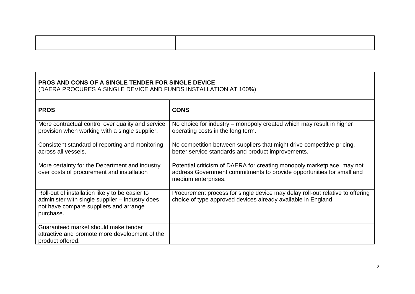# **PROS AND CONS OF A SINGLE TENDER FOR SINGLE DEVICE** (DAERA PROCURES A SINGLE DEVICE AND FUNDS INSTALLATION AT 100%)

| <b>PROS</b>                                                                                                                                               | <b>CONS</b>                                                                                                                                                             |
|-----------------------------------------------------------------------------------------------------------------------------------------------------------|-------------------------------------------------------------------------------------------------------------------------------------------------------------------------|
| More contractual control over quality and service<br>provision when working with a single supplier.                                                       | No choice for industry – monopoly created which may result in higher<br>operating costs in the long term.                                                               |
| Consistent standard of reporting and monitoring<br>across all vessels.                                                                                    | No competition between suppliers that might drive competitive pricing,<br>better service standards and product improvements.                                            |
| More certainty for the Department and industry<br>over costs of procurement and installation                                                              | Potential criticism of DAERA for creating monopoly marketplace, may not<br>address Government commitments to provide opportunities for small and<br>medium enterprises. |
| Roll-out of installation likely to be easier to<br>administer with single supplier – industry does<br>not have compare suppliers and arrange<br>purchase. | Procurement process for single device may delay roll-out relative to offering<br>choice of type approved devices already available in England                           |
| Guaranteed market should make tender<br>attractive and promote more development of the<br>product offered.                                                |                                                                                                                                                                         |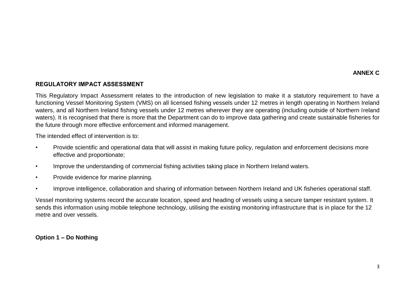## **REGULATORY IMPACT ASSESSMENT**

This Regulatory Impact Assessment relates to the introduction of new legislation to make it a statutory requirement to have a functioning Vessel Monitoring System (VMS) on all licensed fishing vessels under 12 metres in length operating in Northern Ireland waters, and all Northern Ireland fishing vessels under 12 metres wherever they are operating (including outside of Northern Ireland waters). It is recognised that there is more that the Department can do to improve data gathering and create sustainable fisheries for the future through more effective enforcement and informed management.

The intended effect of intervention is to:

- Provide scientific and operational data that will assist in making future policy, regulation and enforcement decisions more effective and proportionate;
- Improve the understanding of commercial fishing activities taking place in Northern Ireland waters.
- Provide evidence for marine planning.
- Improve intelligence, collaboration and sharing of information between Northern Ireland and UK fisheries operational staff.

Vessel monitoring systems record the accurate location, speed and heading of vessels using a secure tamper resistant system. It sends this information using mobile telephone technology, utilising the existing monitoring infrastructure that is in place for the 12 metre and over vessels.

**Option 1 – Do Nothing**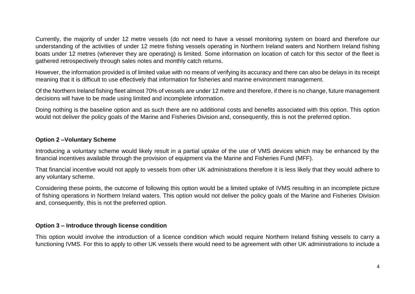Currently, the majority of under 12 metre vessels (do not need to have a vessel monitoring system on board and therefore our understanding of the activities of under 12 metre fishing vessels operating in Northern Ireland waters and Northern Ireland fishing boats under 12 metres (wherever they are operating) is limited. Some information on location of catch for this sector of the fleet is gathered retrospectively through sales notes and monthly catch returns.

However, the information provided is of limited value with no means of verifying its accuracy and there can also be delays in its receipt meaning that it is difficult to use effectively that information for fisheries and marine environment management.

Of the Northern Ireland fishing fleet almost 70% of vessels are under 12 metre and therefore, if there is no change, future management decisions will have to be made using limited and incomplete information.

Doing nothing is the baseline option and as such there are no additional costs and benefits associated with this option. This option would not deliver the policy goals of the Marine and Fisheries Division and, consequently, this is not the preferred option.

## **Option 2 –Voluntary Scheme**

Introducing a voluntary scheme would likely result in a partial uptake of the use of VMS devices which may be enhanced by the financial incentives available through the provision of equipment via the Marine and Fisheries Fund (MFF).

That financial incentive would not apply to vessels from other UK administrations therefore it is less likely that they would adhere to any voluntary scheme.

Considering these points, the outcome of following this option would be a limited uptake of IVMS resulting in an incomplete picture of fishing operations in Northern Ireland waters. This option would not deliver the policy goals of the Marine and Fisheries Division and, consequently, this is not the preferred option.

# **Option 3 – Introduce through license condition**

This option would involve the introduction of a licence condition which would require Northern Ireland fishing vessels to carry a functioning IVMS. For this to apply to other UK vessels there would need to be agreement with other UK administrations to include a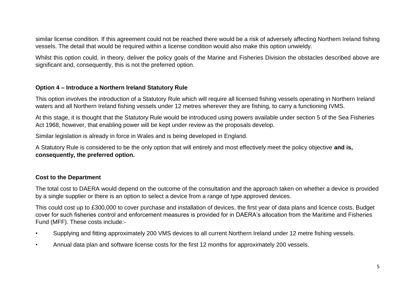similar license condition. If this agreement could not be reached there would be a risk of adversely affecting Northern Ireland fishing vessels. The detail that would be required within a license condition would also make this option unwieldy.

Whilst this option could, in theory, deliver the policy goals of the Marine and Fisheries Division the obstacles described above are significant and, consequently, this is not the preferred option.

#### **Option 4 – Introduce a Northern Ireland Statutory Rule**

This option involves the introduction of a Statutory Rule which will require all licensed fishing vessels operating in Northern Ireland waters and all Northern Ireland fishing vessels under 12 metres wherever they are fishing, to carry a functioning IVMS.

At this stage, it is thought that the Statutory Rule would be introduced using powers available under section 5 of the Sea Fisheries Act 1968, however, that enabling power will be kept under review as the proposals develop.

Similar legislation is already in force in Wales and is being developed in England.

A Statutory Rule is considered to be the only option that will entirely and most effectively meet the policy objective **and is, consequently, the preferred option.** 

## **Cost to the Department**

The total cost to DAERA would depend on the outcome of the consultation and the approach taken on whether a device is provided by a single supplier or there is an option to select a device from a range of type approved devices.

This could cost up to £300,000 to cover purchase and installation of devices, the first year of data plans and licence costs. Budget cover for such fisheries control and enforcement measures is provided for in DAERA's allocation from the Maritime and Fisheries Fund (MFF). These costs include:-

- Supplying and fitting approximately 200 VMS devices to all current Northern Ireland under 12 metre fishing vessels.
- Annual data plan and software license costs for the first 12 months for approximately 200 vessels.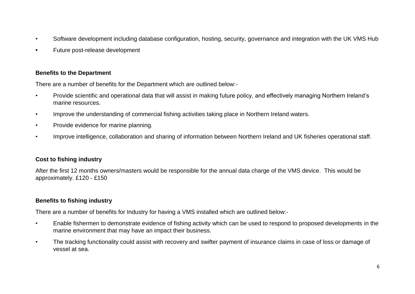- Software development including database configuration, hosting, security, governance and integration with the UK VMS Hub
- **•** Future post-release development

## **Benefits to the Department**

There are a number of benefits for the Department which are outlined below:-

- Provide scientific and operational data that will assist in making future policy, and effectively managing Northern Ireland's marine resources.
- Improve the understanding of commercial fishing activities taking place in Northern Ireland waters.
- Provide evidence for marine planning.
- Improve intelligence, collaboration and sharing of information between Northern Ireland and UK fisheries operational staff.

# **Cost to fishing industry**

After the first 12 months owners/masters would be responsible for the annual data charge of the VMS device. This would be approximately. £120 - £150

# **Benefits to fishing industry**

There are a number of benefits for Industry for having a VMS installed which are outlined below:-

- Enable fishermen to demonstrate evidence of fishing activity which can be used to respond to proposed developments in the marine environment that may have an impact their business.
- The tracking functionality could assist with recovery and swifter payment of insurance claims in case of loss or damage of vessel at sea.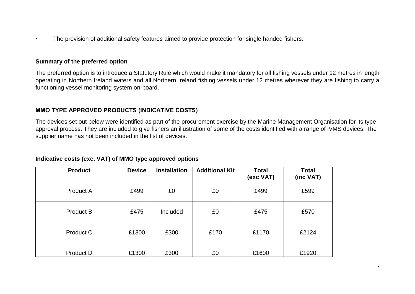• The provision of additional safety features aimed to provide protection for single handed fishers.

#### **Summary of the preferred option**

The preferred option is to introduce a Statutory Rule which would make it mandatory for all fishing vessels under 12 metres in length operating in Northern Ireland waters and all Northern Ireland fishing vessels under 12 metres wherever they are fishing to carry a functioning vessel monitoring system on-board.

#### **MMO TYPE APPROVED PRODUCTS (INDICATIVE COSTS)**

The devices set out below were identified as part of the procurement exercise by the Marine Management Organisation for its type approval process. They are included to give fishers an illustration of some of the costs identified with a range of iVMS devices. The supplier name has not been included in the list of devices.

| Indicative costs (exc. VAT) of MMO type approved options |  |  |  |  |  |  |
|----------------------------------------------------------|--|--|--|--|--|--|
|----------------------------------------------------------|--|--|--|--|--|--|

| <b>Product</b> | <b>Device</b> | <b>Installation</b> | <b>Additional Kit</b> | <b>Total</b><br>(exc VAT) | <b>Total</b><br>(inc VAT) |
|----------------|---------------|---------------------|-----------------------|---------------------------|---------------------------|
| Product A      | £499          | £0                  | £0                    | £499                      | £599                      |
| Product B      | £475          | Included            | £0                    | £475                      | £570                      |
| Product C      | £1300         | £300                | £170                  | £1170                     | £2124                     |
| Product D      | £1300         | £300                | £0                    | £1600                     | £1920                     |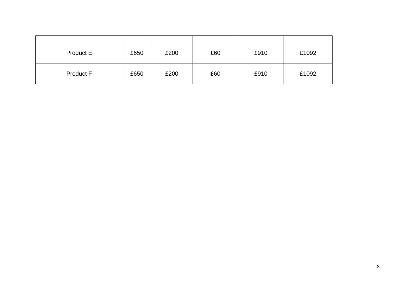| Product E        | £650 | £200 | £60 | £910 | £1092 |
|------------------|------|------|-----|------|-------|
| <b>Product F</b> | £650 | £200 | £60 | £910 | £1092 |